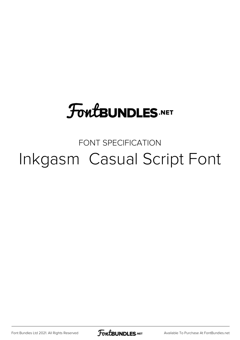## **FoutBUNDLES.NET**

## FONT SPECIFICATION Inkgasm Casual Script Font

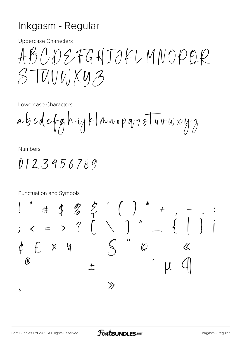## Inkgasm - Regular

**Uppercase Characters** 

ABCDEFGHIJKLMNOPOR  $STU(UU)XU3$ 

Lowercase Characters

**Numbers** 

0123456789

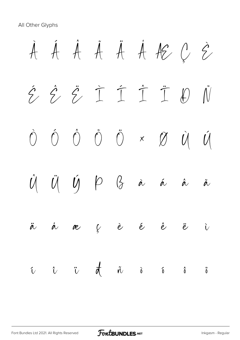All Other Glyphs

À Á Â Ã Ä Å Æ Ç È É Ê Ë Ì Í Î Ï Ð Ñ Ò Ó Ô Õ Ö × Ø Ù Ú Û Ü Ý Þ ß à á â ã ä å æ ç è é ê ë ì í î ï ð ñ ò ó ô õ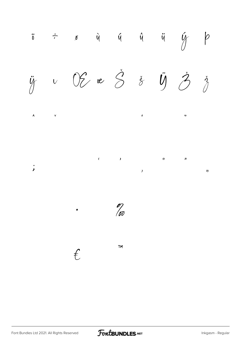

FontBUNDLES.NET